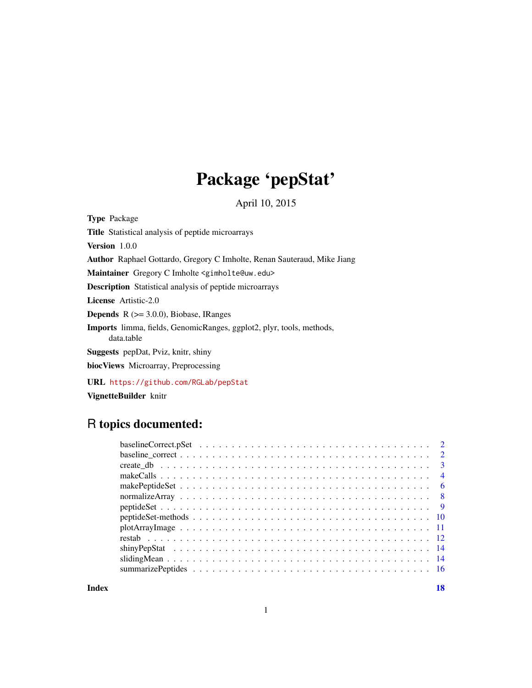## Package 'pepStat'

April 10, 2015

<span id="page-0-0"></span>Type Package

Title Statistical analysis of peptide microarrays

Version 1.0.0

Author Raphael Gottardo, Gregory C Imholte, Renan Sauteraud, Mike Jiang

Maintainer Gregory C Imholte <gimholte@uw.edu>

Description Statistical analysis of peptide microarrays

License Artistic-2.0

**Depends**  $R$  ( $>= 3.0.0$ ), Biobase, IRanges

Imports limma, fields, GenomicRanges, ggplot2, plyr, tools, methods, data.table

Suggests pepDat, Pviz, knitr, shiny

biocViews Microarray, Preprocessing

URL <https://github.com/RGLab/pepStat>

VignetteBuilder knitr

## R topics documented:

**Index** 2008 **[18](#page-17-0)**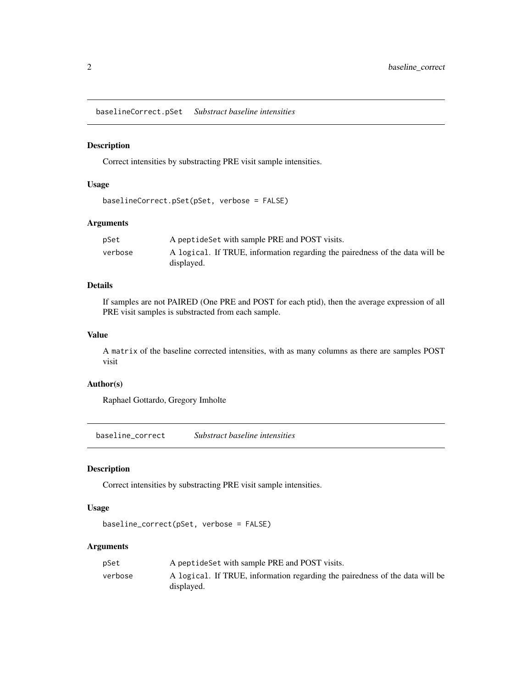<span id="page-1-0"></span>baselineCorrect.pSet *Substract baseline intensities*

#### Description

Correct intensities by substracting PRE visit sample intensities.

## Usage

```
baselineCorrect.pSet(pSet, verbose = FALSE)
```
## Arguments

| pSet    | A peptide Set with sample PRE and POST visits.                                             |
|---------|--------------------------------------------------------------------------------------------|
| verbose | A logical. If TRUE, information regarding the pairedness of the data will be<br>displayed. |

## Details

If samples are not PAIRED (One PRE and POST for each ptid), then the average expression of all PRE visit samples is substracted from each sample.

## Value

A matrix of the baseline corrected intensities, with as many columns as there are samples POST visit

## Author(s)

Raphael Gottardo, Gregory Imholte

baseline\_correct *Substract baseline intensities*

## Description

Correct intensities by substracting PRE visit sample intensities.

## Usage

```
baseline_correct(pSet, verbose = FALSE)
```

| pSet    | A peptide Set with sample PRE and POST visits.                                             |
|---------|--------------------------------------------------------------------------------------------|
| verbose | A logical. If TRUE, information regarding the pairedness of the data will be<br>displayed. |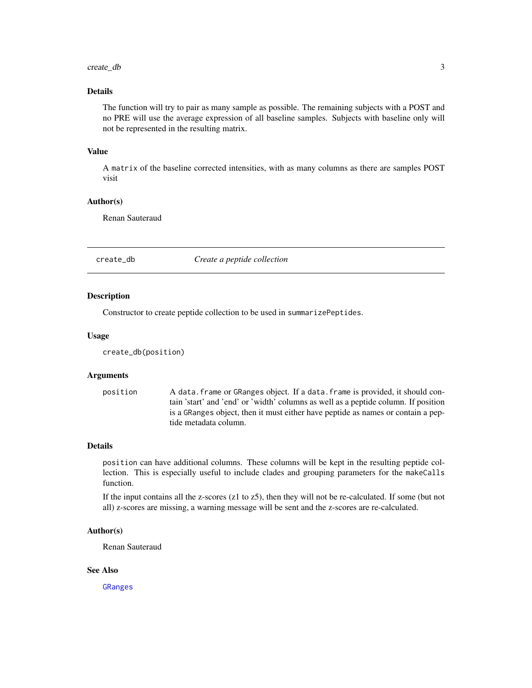#### <span id="page-2-0"></span>create\_db 3

## Details

The function will try to pair as many sample as possible. The remaining subjects with a POST and no PRE will use the average expression of all baseline samples. Subjects with baseline only will not be represented in the resulting matrix.

#### Value

A matrix of the baseline corrected intensities, with as many columns as there are samples POST visit

#### Author(s)

Renan Sauteraud

## <span id="page-2-1"></span>create\_db *Create a peptide collection*

## Description

Constructor to create peptide collection to be used in summarizePeptides.

#### Usage

```
create_db(position)
```
## Arguments

position A data.frame or GRanges object. If a data.frame is provided, it should contain 'start' and 'end' or 'width' columns as well as a peptide column. If position is a GRanges object, then it must either have peptide as names or contain a peptide metadata column.

## Details

position can have additional columns. These columns will be kept in the resulting peptide collection. This is especially useful to include clades and grouping parameters for the makeCalls function.

If the input contains all the z-scores (z1 to z5), then they will not be re-calculated. If some (but not all) z-scores are missing, a warning message will be sent and the z-scores are re-calculated.

## Author(s)

Renan Sauteraud

## See Also

[GRanges](#page-0-0)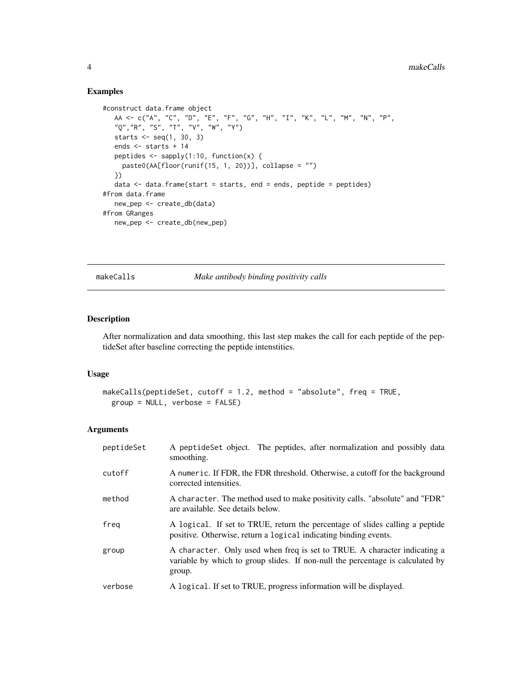## Examples

```
#construct data.frame object
   AA <- c("A", "C", "D", "E", "F", "G", "H", "I", "K", "L", "M", "N", "P",
   "Q","R", "S", "T", "V", "W", "Y")
  starts \leq seq(1, 30, 3)
  ends <- starts + 14
  peptides \leq sapply(1:10, function(x) {
    paste0(AA[floor(runif(15, 1, 20))], collapse = "")
  })
  data \leq data.frame(start = starts, end = ends, peptide = peptides)
#from data.frame
  new_pep <- create_db(data)
#from GRanges
  new_pep <- create_db(new_pep)
```
<span id="page-3-1"></span>makeCalls *Make antibody binding positivity calls*

## Description

After normalization and data smoothing, this last step makes the call for each peptide of the peptideSet after baseline correcting the peptide intenstities.

## Usage

```
makeCalls(peptideSet, cutoff = 1.2, method = "absolute", freq = TRUE,
  group = NULL, verbose = FALSE)
```

| peptideSet | A peptideSet object. The peptides, after normalization and possibly data<br>smoothing.                                                                                |
|------------|-----------------------------------------------------------------------------------------------------------------------------------------------------------------------|
| cutoff     | A numeric. If FDR, the FDR threshold. Otherwise, a cutoff for the background<br>corrected intensities.                                                                |
| method     | A character. The method used to make positivity calls. "absolute" and "FDR"<br>are available. See details below.                                                      |
| freg       | A logical. If set to TRUE, return the percentage of slides calling a peptide<br>positive. Otherwise, return a logical indicating binding events.                      |
| group      | A character. Only used when freq is set to TRUE. A character indicating a<br>variable by which to group slides. If non-null the percentage is calculated by<br>group. |
| verbose    | A logical. If set to TRUE, progress information will be displayed.                                                                                                    |

<span id="page-3-0"></span>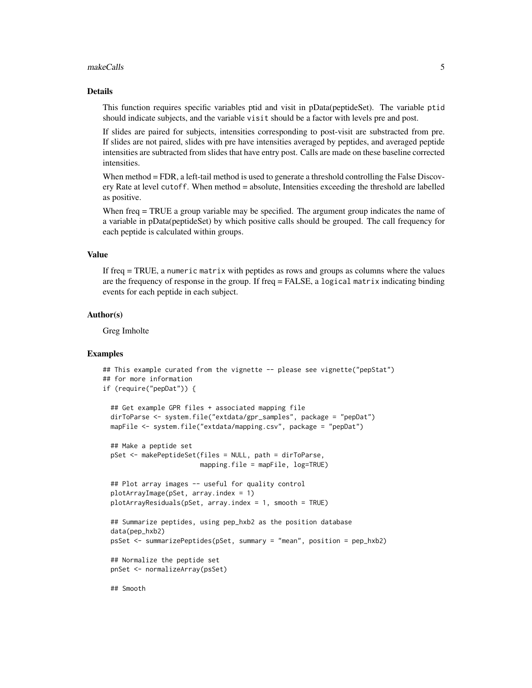#### makeCalls 5

#### Details

This function requires specific variables ptid and visit in pData(peptideSet). The variable ptid should indicate subjects, and the variable visit should be a factor with levels pre and post.

If slides are paired for subjects, intensities corresponding to post-visit are substracted from pre. If slides are not paired, slides with pre have intensities averaged by peptides, and averaged peptide intensities are subtracted from slides that have entry post. Calls are made on these baseline corrected intensities.

When method = FDR, a left-tail method is used to generate a threshold controlling the False Discovery Rate at level cutoff. When method = absolute, Intensities exceeding the threshold are labelled as positive.

When freq = TRUE a group variable may be specified. The argument group indicates the name of a variable in pData(peptideSet) by which positive calls should be grouped. The call frequency for each peptide is calculated within groups.

## Value

If freq = TRUE, a numeric matrix with peptides as rows and groups as columns where the values are the frequency of response in the group. If freq = FALSE, a logical matrix indicating binding events for each peptide in each subject.

## Author(s)

Greg Imholte

```
## This example curated from the vignette -- please see vignette("pepStat")
## for more information
if (require("pepDat")) {
 ## Get example GPR files + associated mapping file
 dirToParse <- system.file("extdata/gpr_samples", package = "pepDat")
 mapFile <- system.file("extdata/mapping.csv", package = "pepDat")
 ## Make a peptide set
 pSet <- makePeptideSet(files = NULL, path = dirToParse,
                        mapping.file = mapFile, log=TRUE)
 ## Plot array images -- useful for quality control
 plotArrayImage(pSet, array.index = 1)
 plotArrayResiduals(pSet, array.index = 1, smooth = TRUE)
 ## Summarize peptides, using pep_hxb2 as the position database
 data(pep_hxb2)
 psSet <- summarizePeptides(pSet, summary = "mean", position = pep_hxb2)
  ## Normalize the peptide set
 pnSet <- normalizeArray(psSet)
 ## Smooth
```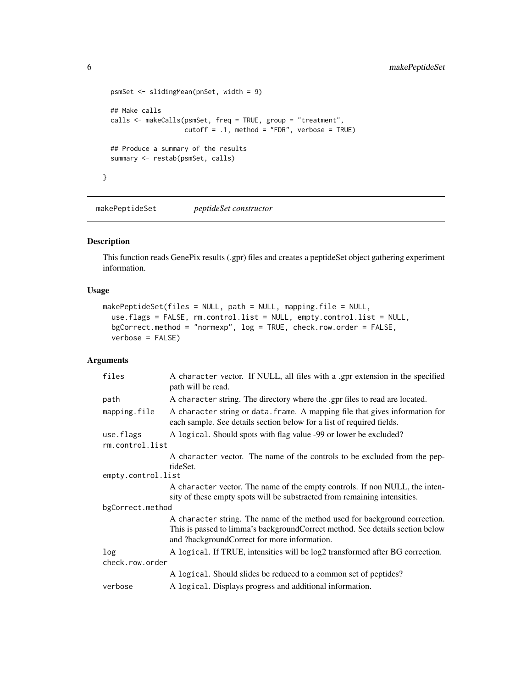```
psmSet <- slidingMean(pnSet, width = 9)
  ## Make calls
  calls <- makeCalls(psmSet, freq = TRUE, group = "treatment",
                     cutoff = .1, method = "FDR", verbose = TRUE)## Produce a summary of the results
  summary <- restab(psmSet, calls)
}
```
<span id="page-5-1"></span>makePeptideSet *peptideSet constructor*

## Description

This function reads GenePix results (.gpr) files and creates a peptideSet object gathering experiment information.

## Usage

```
makePeptideSet(files = NULL, path = NULL, mapping.file = NULL,
 use.flags = FALSE, rm.control.list = NULL, empty.control.list = NULL,
 bgCorrect.method = "normexp", log = TRUE, check.row.order = FALSE,
  verbose = FALSE)
```

| files              | A character vector. If NULL, all files with a .gpr extension in the specified<br>path will be read.                                                                                                         |
|--------------------|-------------------------------------------------------------------------------------------------------------------------------------------------------------------------------------------------------------|
| path               | A character string. The directory where the .gpr files to read are located.                                                                                                                                 |
| mapping.file       | A character string or data. frame. A mapping file that gives information for<br>each sample. See details section below for a list of required fields.                                                       |
| use.flags          | A logical. Should spots with flag value -99 or lower be excluded?                                                                                                                                           |
| rm.control.list    |                                                                                                                                                                                                             |
|                    | A character vector. The name of the controls to be excluded from the pep-<br>tideSet.                                                                                                                       |
| empty.control.list |                                                                                                                                                                                                             |
|                    | A character vector. The name of the empty controls. If non NULL, the inten-<br>sity of these empty spots will be substracted from remaining intensities.                                                    |
| bgCorrect.method   |                                                                                                                                                                                                             |
|                    | A character string. The name of the method used for background correction.<br>This is passed to limma's backgroundCorrect method. See details section below<br>and ?backgroundCorrect for more information. |
| log                | A logical. If TRUE, intensities will be log2 transformed after BG correction.                                                                                                                               |
| check.row.order    |                                                                                                                                                                                                             |
|                    | A logical. Should slides be reduced to a common set of peptides?                                                                                                                                            |
| verbose            | A logical. Displays progress and additional information.                                                                                                                                                    |

<span id="page-5-0"></span>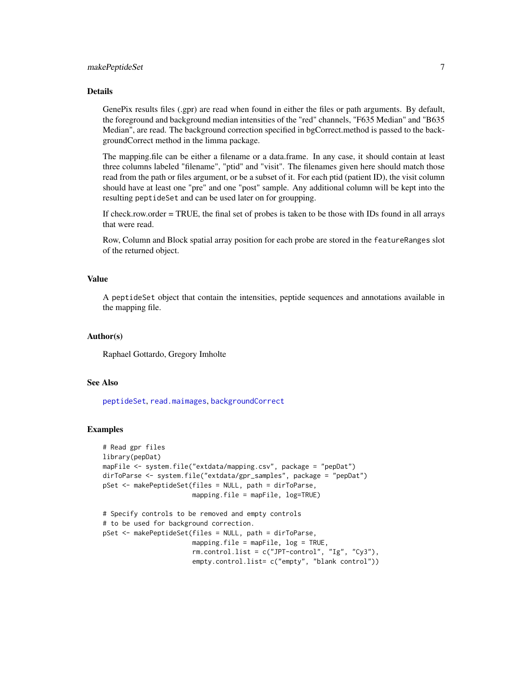## makePeptideSet 7

#### Details

GenePix results files (.gpr) are read when found in either the files or path arguments. By default, the foreground and background median intensities of the "red" channels, "F635 Median" and "B635 Median", are read. The background correction specified in bgCorrect.method is passed to the backgroundCorrect method in the limma package.

The mapping.file can be either a filename or a data.frame. In any case, it should contain at least three columns labeled "filename", "ptid" and "visit". The filenames given here should match those read from the path or files argument, or be a subset of it. For each ptid (patient ID), the visit column should have at least one "pre" and one "post" sample. Any additional column will be kept into the resulting peptideSet and can be used later on for groupping.

If check.row.order = TRUE, the final set of probes is taken to be those with IDs found in all arrays that were read.

Row, Column and Block spatial array position for each probe are stored in the featureRanges slot of the returned object.

#### Value

A peptideSet object that contain the intensities, peptide sequences and annotations available in the mapping file.

## Author(s)

Raphael Gottardo, Gregory Imholte

#### See Also

[peptideSet](#page-8-1), [read.maimages](#page-0-0), [backgroundCorrect](#page-0-0)

## Examples

```
# Read gpr files
library(pepDat)
mapFile <- system.file("extdata/mapping.csv", package = "pepDat")
dirToParse <- system.file("extdata/gpr_samples", package = "pepDat")
pSet <- makePeptideSet(files = NULL, path = dirToParse,
                       mapping.file = mapFile, log=TRUE)
# Specify controls to be removed and empty controls
# to be used for background correction.
pSet <- makePeptideSet(files = NULL, path = dirToParse,
                       mapping.file = mapFile, log = TRUE,
                       rm.control.list = c("JPT-control", "Ig", "Cy3"),
```
empty.control.list= c("empty", "blank control"))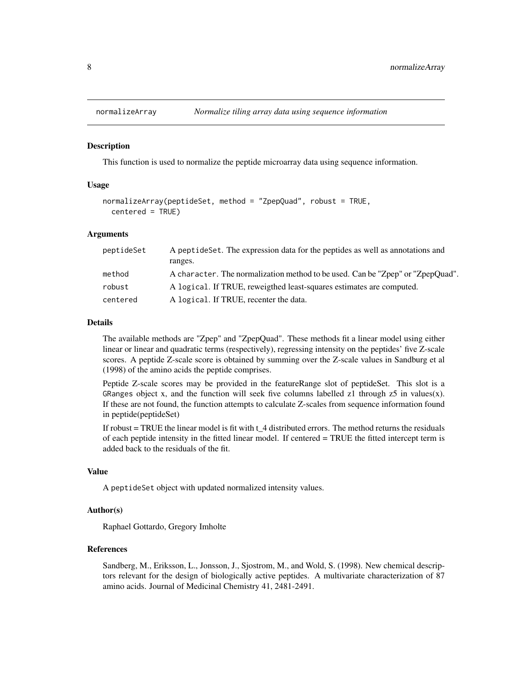<span id="page-7-1"></span><span id="page-7-0"></span>

#### **Description**

This function is used to normalize the peptide microarray data using sequence information.

## Usage

```
normalizeArray(peptideSet, method = "ZpepQuad", robust = TRUE,
 centered = TRUE)
```
## Arguments

| peptideSet | A peptide Set. The expression data for the peptides as well as annotations and<br>ranges. |
|------------|-------------------------------------------------------------------------------------------|
| method     | A character. The normalization method to be used. Can be "Zpep" or "ZpepQuad".            |
| robust     | A logical. If TRUE, reweigthed least-squares estimates are computed.                      |
| centered   | A logical. If TRUE, recenter the data.                                                    |

#### Details

The available methods are "Zpep" and "ZpepQuad". These methods fit a linear model using either linear or linear and quadratic terms (respectively), regressing intensity on the peptides' five Z-scale scores. A peptide Z-scale score is obtained by summing over the Z-scale values in Sandburg et al (1998) of the amino acids the peptide comprises.

Peptide Z-scale scores may be provided in the featureRange slot of peptideSet. This slot is a GRanges object x, and the function will seek five columns labelled  $z1$  through  $z5$  in values(x). If these are not found, the function attempts to calculate Z-scales from sequence information found in peptide(peptideSet)

If robust  $=$  TRUE the linear model is fit with  $t_4$  distributed errors. The method returns the residuals of each peptide intensity in the fitted linear model. If centered = TRUE the fitted intercept term is added back to the residuals of the fit.

### Value

A peptideSet object with updated normalized intensity values.

## Author(s)

Raphael Gottardo, Gregory Imholte

## References

Sandberg, M., Eriksson, L., Jonsson, J., Sjostrom, M., and Wold, S. (1998). New chemical descriptors relevant for the design of biologically active peptides. A multivariate characterization of 87 amino acids. Journal of Medicinal Chemistry 41, 2481-2491.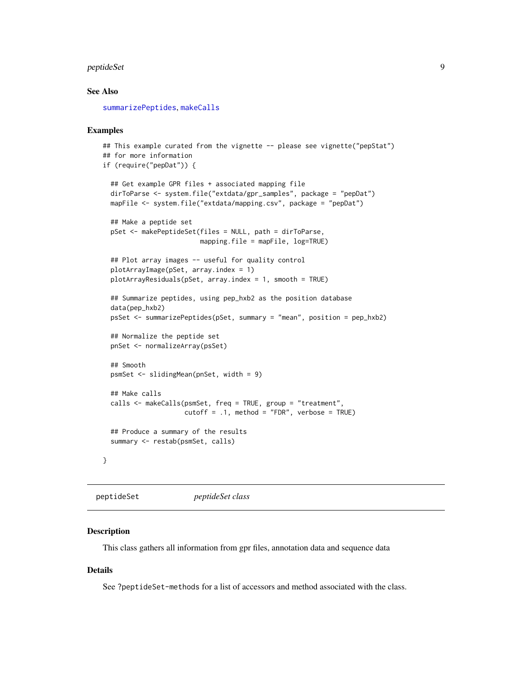#### <span id="page-8-0"></span>peptideSet 9

## See Also

[summarizePeptides](#page-15-1), [makeCalls](#page-3-1)

#### Examples

```
## This example curated from the vignette -- please see vignette("pepStat")
## for more information
if (require("pepDat")) {
 ## Get example GPR files + associated mapping file
 dirToParse <- system.file("extdata/gpr_samples", package = "pepDat")
 mapFile <- system.file("extdata/mapping.csv", package = "pepDat")
 ## Make a peptide set
 pSet <- makePeptideSet(files = NULL, path = dirToParse,
                         mapping.file = mapFile, log=TRUE)
 ## Plot array images -- useful for quality control
 plotArrayImage(pSet, array.index = 1)
 plotArrayResiduals(pSet, array.index = 1, smooth = TRUE)
 ## Summarize peptides, using pep_hxb2 as the position database
 data(pep_hxb2)
 psSet <- summarizePeptides(pSet, summary = "mean", position = pep_hxb2)
 ## Normalize the peptide set
 pnSet <- normalizeArray(psSet)
 ## Smooth
 psmSet <- slidingMean(pnSet, width = 9)
 ## Make calls
 calls <- makeCalls(psmSet, freq = TRUE, group = "treatment",
                    cutoff = .1, method = "FDR", verbose = TRUE)
 ## Produce a summary of the results
 summary <- restab(psmSet, calls)
}
```
<span id="page-8-1"></span>peptideSet *peptideSet class*

## **Description**

This class gathers all information from gpr files, annotation data and sequence data

#### Details

See ?peptideSet-methods for a list of accessors and method associated with the class.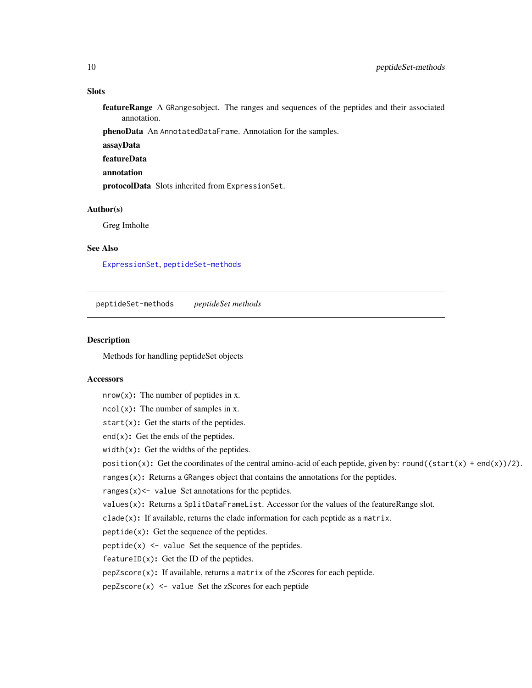## <span id="page-9-0"></span>**Slots**

featureRange A GRangesobject. The ranges and sequences of the peptides and their associated annotation.

phenoData An AnnotatedDataFrame. Annotation for the samples.

- assayData
- featureData
- annotation

protocolData Slots inherited from ExpressionSet.

## Author(s)

Greg Imholte

## See Also

[ExpressionSet](#page-0-0), [peptideSet-methods](#page-9-1)

<span id="page-9-1"></span>peptideSet-methods *peptideSet methods*

## **Description**

Methods for handling peptideSet objects

#### **Accessors**

 $nrow(x)$ : The number of peptides in x.

 $ncol(x)$ : The number of samples in x.

start $(x)$ : Get the starts of the peptides.

 $end(x)$ : Get the ends of the peptides.

width $(x)$ : Get the widths of the peptides.

```
position(x): Get the coordinates of the central amino-acid of each peptide, given by: round((start(x) + end(x))/2).
```
ranges $(x)$ : Returns a GRanges object that contains the annotations for the peptides.

ranges $(x)$  <- value Set annotations for the peptides.

values(x): Returns a SplitDataFrameList. Accessor for the values of the featureRange slot.

 $clade(x)$ : If available, returns the clade information for each peptide as a matrix.

 $peptide(x)$ : Get the sequence of the peptides.

peptide(x)  $\le$  value Set the sequence of the peptides.

 $featureID(x)$ : Get the ID of the peptides.

 $pepZscore(x)$ : If available, returns a matrix of the zScores for each peptide.

pepZscore(x) <- value Set the zScores for each peptide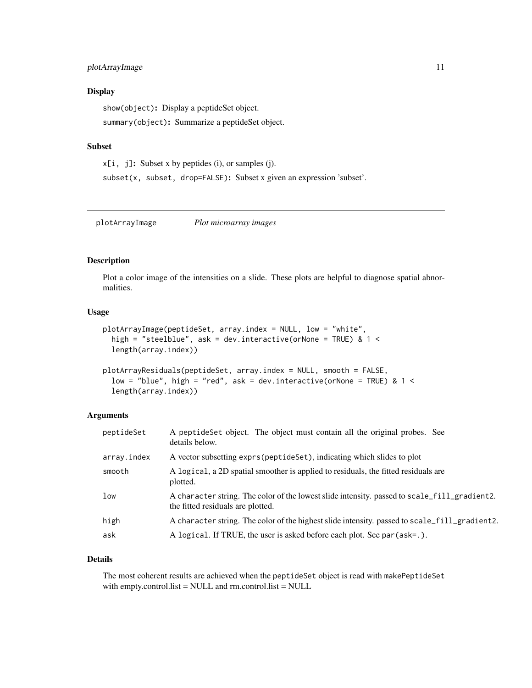## <span id="page-10-0"></span>plotArrayImage 11

## **Display**

show(object): Display a peptideSet object. summary(object): Summarize a peptideSet object.

## Subset

 $x[i, j]$ : Subset x by peptides (i), or samples (j).

subset(x, subset, drop=FALSE): Subset x given an expression 'subset'.

plotArrayImage *Plot microarray images*

## Description

Plot a color image of the intensities on a slide. These plots are helpful to diagnose spatial abnormalities.

## Usage

```
plotArrayImage(peptideSet, array.index = NULL, low = "white",
 high = "steelblue", ask = dev.interactive(orNone = TRUE) & 1 <
  length(array.index))
```

```
plotArrayResiduals(peptideSet, array.index = NULL, smooth = FALSE,
  low = "blue", high = "red", ask = dev.interactive(orNone = TRUE) & 1 <length(array.index))
```
## Arguments

| peptideSet  | A peptide Set object. The object must contain all the original probes. See<br>details below.                                      |
|-------------|-----------------------------------------------------------------------------------------------------------------------------------|
| array.index | A vector subsetting exprs (peptideSet), indicating which slides to plot                                                           |
| smooth      | A logical, a 2D spatial smoother is applied to residuals, the fitted residuals are<br>plotted.                                    |
| low         | A character string. The color of the lowest slide intensity. passed to scale_fill_gradient2.<br>the fitted residuals are plotted. |
| high        | A character string. The color of the highest slide intensity, passed to scale_fill_gradient2.                                     |
| ask         | A logical. If TRUE, the user is asked before each plot. See par (ask=.).                                                          |

## Details

The most coherent results are achieved when the peptideSet object is read with makePeptideSet with empty.control.list = NULL and rm.control.list = NULL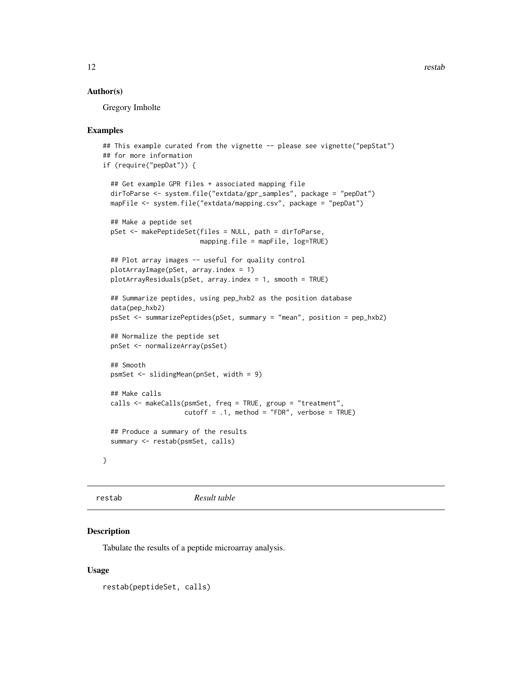## <span id="page-11-0"></span>Author(s)

Gregory Imholte

### Examples

```
## This example curated from the vignette -- please see vignette("pepStat")
## for more information
if (require("pepDat")) {
 ## Get example GPR files + associated mapping file
 dirToParse <- system.file("extdata/gpr_samples", package = "pepDat")
 mapFile <- system.file("extdata/mapping.csv", package = "pepDat")
 ## Make a peptide set
 pSet <- makePeptideSet(files = NULL, path = dirToParse,
                         mapping.file = mapFile, log=TRUE)
 ## Plot array images -- useful for quality control
 plotArrayImage(pSet, array.index = 1)
 plotArrayResiduals(pSet, array.index = 1, smooth = TRUE)
 ## Summarize peptides, using pep_hxb2 as the position database
 data(pep_hxb2)
 psSet <- summarizePeptides(pSet, summary = "mean", position = pep_hxb2)
 ## Normalize the peptide set
 pnSet <- normalizeArray(psSet)
 ## Smooth
 psmSet <- slidingMean(pnSet, width = 9)
 ## Make calls
 calls <- makeCalls(psmSet, freq = TRUE, group = "treatment",
                    cutoff = .1, method = "FDR", verbose = TRUE)
 ## Produce a summary of the results
 summary <- restab(psmSet, calls)
}
```
restab *Result table*

## **Description**

Tabulate the results of a peptide microarray analysis.

## Usage

restab(peptideSet, calls)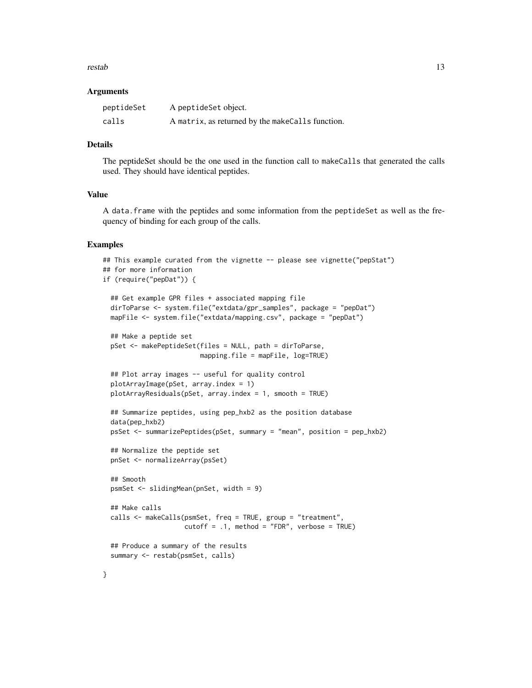#### restab and the state of the state of the state of the state of the state of the state of the state of the state of the state of the state of the state of the state of the state of the state of the state of the state of the

#### Arguments

| peptideSet | A peptide Set object.                            |
|------------|--------------------------------------------------|
| calls      | A matrix, as returned by the makeCalls function. |

## Details

The peptideSet should be the one used in the function call to makeCalls that generated the calls used. They should have identical peptides.

## Value

A data.frame with the peptides and some information from the peptideSet as well as the frequency of binding for each group of the calls.

```
## This example curated from the vignette -- please see vignette("pepStat")
## for more information
if (require("pepDat")) {
 ## Get example GPR files + associated mapping file
 dirToParse <- system.file("extdata/gpr_samples", package = "pepDat")
 mapFile <- system.file("extdata/mapping.csv", package = "pepDat")
 ## Make a peptide set
 pSet <- makePeptideSet(files = NULL, path = dirToParse,
                        mapping.file = mapFile, log=TRUE)
 ## Plot array images -- useful for quality control
 plotArrayImage(pSet, array.index = 1)
 plotArrayResiduals(pSet, array.index = 1, smooth = TRUE)
 ## Summarize peptides, using pep_hxb2 as the position database
 data(pep_hxb2)
 psSet <- summarizePeptides(pSet, summary = "mean", position = pep_hxb2)
 ## Normalize the peptide set
 pnSet <- normalizeArray(psSet)
 ## Smooth
 psmSet <- slidingMean(pnSet, width = 9)
 ## Make calls
 calls <- makeCalls(psmSet, freq = TRUE, group = "treatment",
                     cutoff = .1, method = "FDR", verbose = TRUE)## Produce a summary of the results
 summary <- restab(psmSet, calls)
```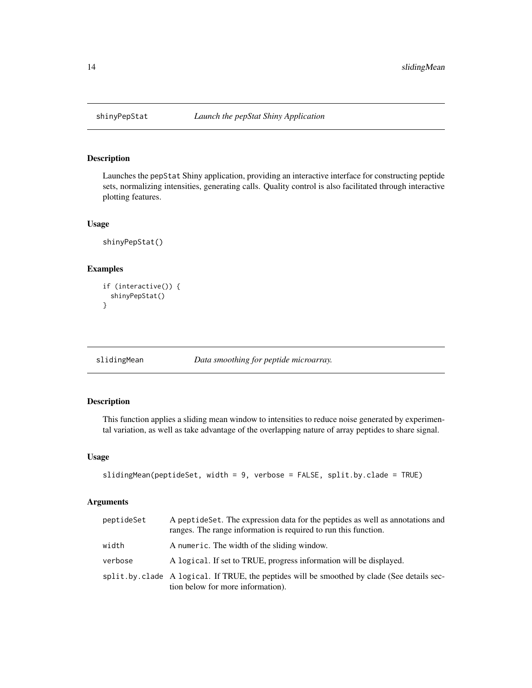## Description

Launches the pepStat Shiny application, providing an interactive interface for constructing peptide sets, normalizing intensities, generating calls. Quality control is also facilitated through interactive plotting features.

## Usage

```
shinyPepStat()
```
## Examples

```
if (interactive()) {
 shinyPepStat()
}
```
slidingMean *Data smoothing for peptide microarray.*

## Description

This function applies a sliding mean window to intensities to reduce noise generated by experimental variation, as well as take advantage of the overlapping nature of array peptides to share signal.

#### Usage

```
slidingMean(peptideSet, width = 9, verbose = FALSE, split.by.clade = TRUE)
```

| peptideSet | A peptideSet. The expression data for the peptides as well as annotations and<br>ranges. The range information is required to run this function. |
|------------|--------------------------------------------------------------------------------------------------------------------------------------------------|
| width      | A numeric. The width of the sliding window.                                                                                                      |
| verbose    | A logical. If set to TRUE, progress information will be displayed.                                                                               |
|            | split by clade A logical. If TRUE, the peptides will be smoothed by clade (See details sec-<br>tion below for more information).                 |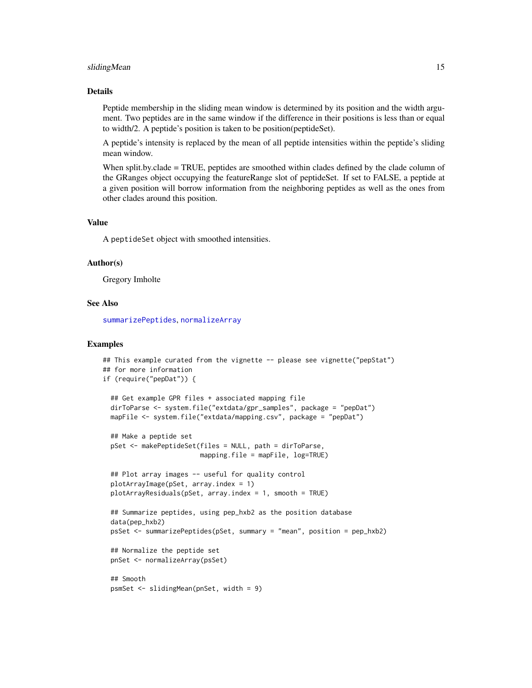#### sliding Mean 15

## Details

Peptide membership in the sliding mean window is determined by its position and the width argument. Two peptides are in the same window if the difference in their positions is less than or equal to width/2. A peptide's position is taken to be position(peptideSet).

A peptide's intensity is replaced by the mean of all peptide intensities within the peptide's sliding mean window.

When split.by.clade = TRUE, peptides are smoothed within clades defined by the clade column of the GRanges object occupying the featureRange slot of peptideSet. If set to FALSE, a peptide at a given position will borrow information from the neighboring peptides as well as the ones from other clades around this position.

#### Value

A peptideSet object with smoothed intensities.

#### Author(s)

Gregory Imholte

## See Also

[summarizePeptides](#page-15-1), [normalizeArray](#page-7-1)

```
## This example curated from the vignette -- please see vignette("pepStat")
## for more information
if (require("pepDat")) {
 ## Get example GPR files + associated mapping file
 dirToParse <- system.file("extdata/gpr_samples", package = "pepDat")
 mapFile <- system.file("extdata/mapping.csv", package = "pepDat")
 ## Make a peptide set
 pSet <- makePeptideSet(files = NULL, path = dirToParse,
                         mapping.file = mapFile, log=TRUE)
 ## Plot array images -- useful for quality control
 plotArrayImage(pSet, array.index = 1)
 plotArrayResiduals(pSet, array.index = 1, smooth = TRUE)
 ## Summarize peptides, using pep_hxb2 as the position database
 data(pep_hxb2)
 psSet <- summarizePeptides(pSet, summary = "mean", position = pep_hxb2)
 ## Normalize the peptide set
 pnSet <- normalizeArray(psSet)
 ## Smooth
 psmSet <- slidingMean(pnSet, width = 9)
```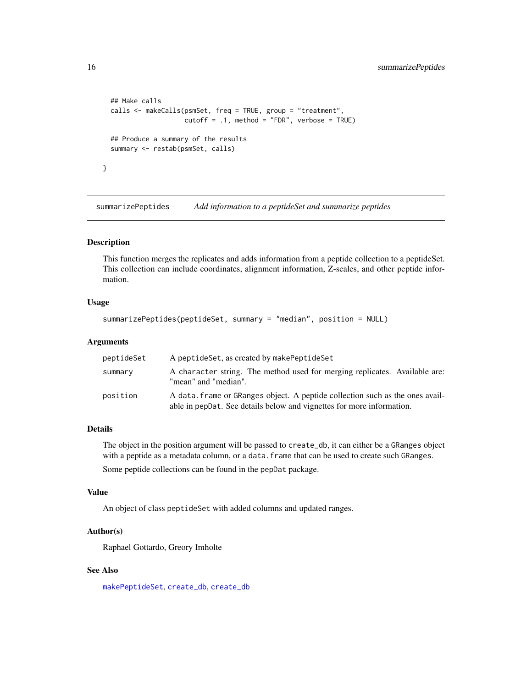```
## Make calls
calls <- makeCalls(psmSet, freq = TRUE, group = "treatment",
                   cutoff = .1, method = "FDR", verbose = TRUE)
## Produce a summary of the results
summary <- restab(psmSet, calls)
```
<span id="page-15-1"></span>summarizePeptides *Add information to a peptideSet and summarize peptides*

## Description

}

This function merges the replicates and adds information from a peptide collection to a peptideSet. This collection can include coordinates, alignment information, Z-scales, and other peptide information.

#### Usage

```
summarizePeptides(peptideSet, summary = "median", position = NULL)
```
#### Arguments

| peptideSet | A peptideSet, as created by makePeptideSet                                                                                                             |
|------------|--------------------------------------------------------------------------------------------------------------------------------------------------------|
| summary    | A character string. The method used for merging replicates. Available are:<br>"mean" and "median".                                                     |
| position   | A data, frame or GRanges object. A peptide collection such as the ones avail-<br>able in peppat. See details below and vignettes for more information. |

## Details

The object in the position argument will be passed to create\_db, it can either be a GRanges object with a peptide as a metadata column, or a data. frame that can be used to create such GRanges. Some peptide collections can be found in the pepDat package.

#### Value

An object of class peptideSet with added columns and updated ranges.

## Author(s)

Raphael Gottardo, Greory Imholte

## See Also

[makePeptideSet](#page-5-1), [create\\_db](#page-2-1), [create\\_db](#page-2-1)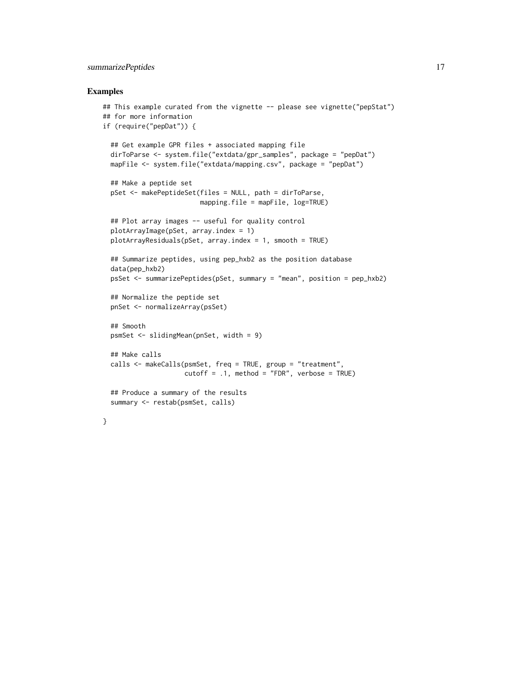## summarizePeptides 17

```
## This example curated from the vignette -- please see vignette("pepStat")
## for more information
if (require("pepDat")) {
 ## Get example GPR files + associated mapping file
 dirToParse <- system.file("extdata/gpr_samples", package = "pepDat")
 mapFile <- system.file("extdata/mapping.csv", package = "pepDat")
 ## Make a peptide set
 pSet <- makePeptideSet(files = NULL, path = dirToParse,
                        mapping.file = mapFile, log=TRUE)
 ## Plot array images -- useful for quality control
 plotArrayImage(pSet, array.index = 1)
 plotArrayResiduals(pSet, array.index = 1, smooth = TRUE)
 ## Summarize peptides, using pep_hxb2 as the position database
 data(pep_hxb2)
 psSet <- summarizePeptides(pSet, summary = "mean", position = pep_hxb2)
 ## Normalize the peptide set
 pnSet <- normalizeArray(psSet)
 ## Smooth
 psmSet <- slidingMean(pnSet, width = 9)
 ## Make calls
 calls <- makeCalls(psmSet, freq = TRUE, group = "treatment",
                    cutoff = .1, method = "FDR", verbose = TRUE)
 ## Produce a summary of the results
 summary <- restab(psmSet, calls)
}
```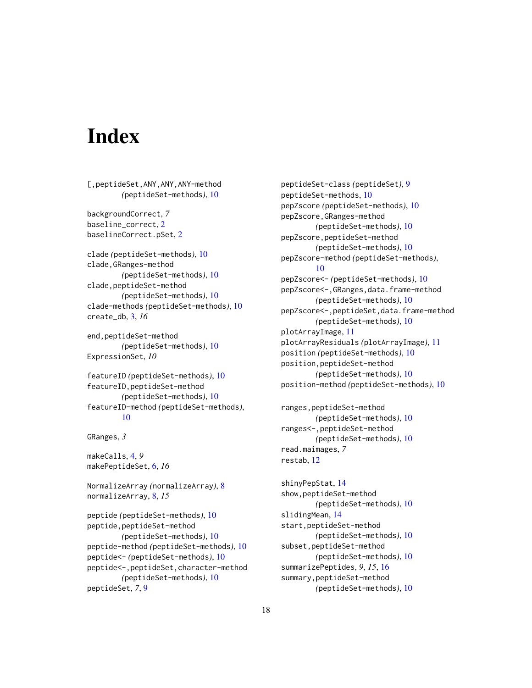# <span id="page-17-0"></span>**Index**

[,peptideSet,ANY,ANY,ANY-method *(*peptideSet-methods*)*, [10](#page-9-0)

backgroundCorrect, *7* baseline\_correct, [2](#page-1-0) baselineCorrect.pSet, [2](#page-1-0)

clade *(*peptideSet-methods*)*, [10](#page-9-0) clade,GRanges-method *(*peptideSet-methods*)*, [10](#page-9-0) clade,peptideSet-method *(*peptideSet-methods*)*, [10](#page-9-0) clade-methods *(*peptideSet-methods*)*, [10](#page-9-0) create\_db, [3,](#page-2-0) *16*

end,peptideSet-method *(*peptideSet-methods*)*, [10](#page-9-0) ExpressionSet, *10*

```
featureID (peptideSet-methods), 10
featureID,peptideSet-method
        (peptideSet-methods), 10
featureID-method (peptideSet-methods),
        10
```

```
GRanges, 3
```
makeCalls, [4,](#page-3-0) *9* makePeptideSet, [6,](#page-5-0) *16*

NormalizeArray *(*normalizeArray*)*, [8](#page-7-0) normalizeArray, [8,](#page-7-0) *15*

peptide *(*peptideSet-methods*)*, [10](#page-9-0) peptide,peptideSet-method *(*peptideSet-methods*)*, [10](#page-9-0) peptide-method *(*peptideSet-methods*)*, [10](#page-9-0) peptide<- *(*peptideSet-methods*)*, [10](#page-9-0) peptide<-,peptideSet,character-method *(*peptideSet-methods*)*, [10](#page-9-0) peptideSet, *7*, [9](#page-8-0)

peptideSet-class *(*peptideSet*)*, [9](#page-8-0) peptideSet-methods, [10](#page-9-0) pepZscore *(*peptideSet-methods*)*, [10](#page-9-0) pepZscore,GRanges-method *(*peptideSet-methods*)*, [10](#page-9-0) pepZscore,peptideSet-method *(*peptideSet-methods*)*, [10](#page-9-0) pepZscore-method *(*peptideSet-methods*)*, [10](#page-9-0) pepZscore<- *(*peptideSet-methods*)*, [10](#page-9-0) pepZscore<-,GRanges,data.frame-method *(*peptideSet-methods*)*, [10](#page-9-0) pepZscore<-,peptideSet,data.frame-method *(*peptideSet-methods*)*, [10](#page-9-0) plotArrayImage, [11](#page-10-0) plotArrayResiduals *(*plotArrayImage*)*, [11](#page-10-0) position *(*peptideSet-methods*)*, [10](#page-9-0) position,peptideSet-method *(*peptideSet-methods*)*, [10](#page-9-0) position-method *(*peptideSet-methods*)*, [10](#page-9-0)

```
ranges,peptideSet-method
        (peptideSet-methods), 10
ranges<-,peptideSet-method
        (peptideSet-methods), 10
read.maimages, 7
restab, 12
```
shinyPepStat, [14](#page-13-0) show,peptideSet-method *(*peptideSet-methods*)*, [10](#page-9-0) slidingMean, [14](#page-13-0) start,peptideSet-method *(*peptideSet-methods*)*, [10](#page-9-0) subset,peptideSet-method *(*peptideSet-methods*)*, [10](#page-9-0) summarizePeptides, *9*, *15*, [16](#page-15-0) summary,peptideSet-method *(*peptideSet-methods*)*, [10](#page-9-0)